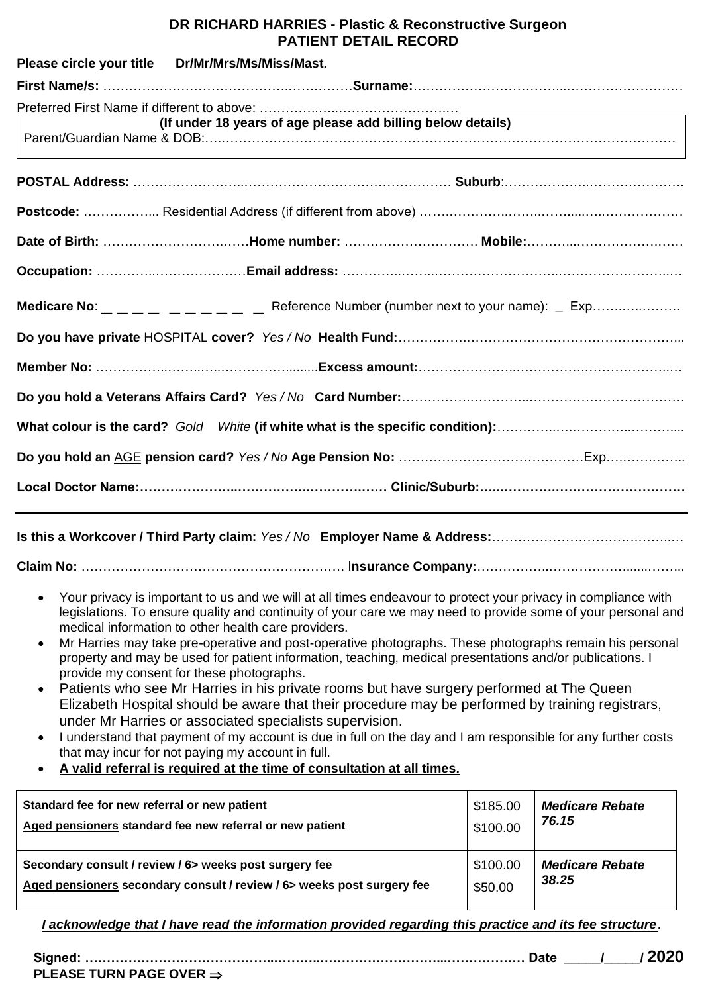## **DR RICHARD HARRIES - Plastic & Reconstructive Surgeon PATIENT DETAIL RECORD**

|                                              | Please circle your title   Dr/Mr/Mrs/Ms/Miss/Mast.                                                                                                                                                                                                                                   |          |                        |
|----------------------------------------------|--------------------------------------------------------------------------------------------------------------------------------------------------------------------------------------------------------------------------------------------------------------------------------------|----------|------------------------|
|                                              |                                                                                                                                                                                                                                                                                      |          |                        |
|                                              | (If under 18 years of age please add billing below details)<br>,我们也不会有什么。""我们的人,我们也不会有什么?""我们的人,我们也不会有什么?""我们的人,我们也不会有什么?""我们的人,我们也不会有什么?""我们的人                                                                                                                                      |          |                        |
|                                              |                                                                                                                                                                                                                                                                                      |          |                        |
|                                              |                                                                                                                                                                                                                                                                                      |          |                        |
|                                              |                                                                                                                                                                                                                                                                                      |          |                        |
|                                              |                                                                                                                                                                                                                                                                                      |          |                        |
|                                              |                                                                                                                                                                                                                                                                                      |          |                        |
|                                              |                                                                                                                                                                                                                                                                                      |          |                        |
|                                              |                                                                                                                                                                                                                                                                                      |          |                        |
|                                              |                                                                                                                                                                                                                                                                                      |          |                        |
|                                              |                                                                                                                                                                                                                                                                                      |          |                        |
|                                              |                                                                                                                                                                                                                                                                                      |          |                        |
|                                              |                                                                                                                                                                                                                                                                                      |          |                        |
|                                              |                                                                                                                                                                                                                                                                                      |          |                        |
|                                              |                                                                                                                                                                                                                                                                                      |          |                        |
|                                              |                                                                                                                                                                                                                                                                                      |          |                        |
|                                              | Your privacy is important to us and we will at all times endeavour to protect your privacy in compliance with<br>legislations. To ensure quality and continuity of your care we may need to provide some of your personal and<br>medical information to other health care providers. |          |                        |
|                                              | Mr Harries may take pre-operative and post-operative photographs. These photographs remain his personal<br>property and may be used for patient information, teaching, medical presentations and/or publications. I<br>provide my consent for these photographs.                     |          |                        |
| $\bullet$                                    | Patients who see Mr Harries in his private rooms but have surgery performed at The Queen<br>Elizabeth Hospital should be aware that their procedure may be performed by training registrars,<br>under Mr Harries or associated specialists supervision.                              |          |                        |
| $\bullet$                                    | I understand that payment of my account is due in full on the day and I am responsible for any further costs<br>that may incur for not paying my account in full.                                                                                                                    |          |                        |
|                                              | A valid referral is required at the time of consultation at all times.                                                                                                                                                                                                               |          |                        |
| Standard fee for new referral or new patient |                                                                                                                                                                                                                                                                                      | \$185.00 | <b>Medicare Rebate</b> |
|                                              | Aged pensioners standard fee new referral or new patient                                                                                                                                                                                                                             | \$100.00 | 76.15                  |

**Secondary consult / review / 6> weeks post surgery fee Aged pensioners secondary consult / review / 6> weeks post surgery fee** \$100.00 \$50.00 *Medicare Rebate 38.25*

*I acknowledge that I have read the information provided regarding this practice and its fee structure*.

**Signed: ……………………………………..………..………………………...……………… Date \_\_\_\_\_/\_\_\_\_\_/ 2020 PLEASE TURN PAGE OVER**